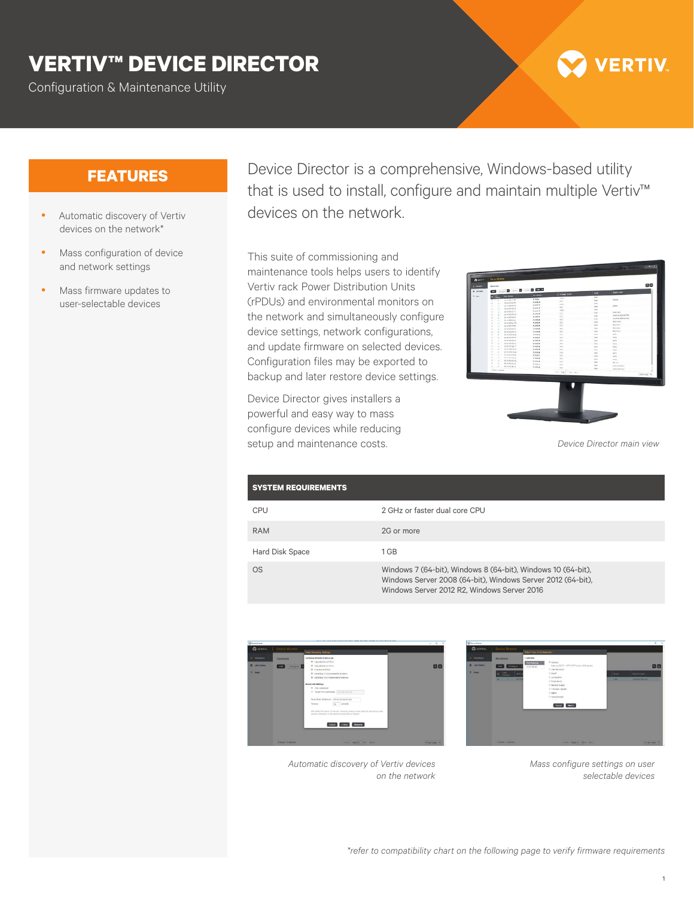## **VERTIV™ DEVICE DIRECTOR**

Configuration & Maintenance Utility

# **ERTIV**

- Automatic discovery of Vertiv devices on the network\*
- Mass configuration of device and network settings
- Mass firmware updates to user-selectable devices

**FEATURES** Device Director is a comprehensive, Windows-based utility that is used to install, configure and maintain multiple Vertiv™ devices on the network.

> This suite of commissioning and maintenance tools helps users to identify Vertiv rack Power Distribution Units (rPDUs) and environmental monitors on the network and simultaneously configure device settings, network configurations, and update firmware on selected devices. Configuration files may be exported to backup and later restore device settings.

Device Director gives installers a powerful and easy way to mass configure devices while reducing setup and maintenance costs.

| a conjunction<br><b>Phil Address</b><br><b>CALLADORE</b><br>о<br>ter.<br>136.6<br>124,388<br>nover<br>10.014441110<br><b>Get</b><br>×<br>×<br>133<br>1043878<br><b>MACADIDATE</b><br>×<br><b>Sellen</b><br>٠<br>$1 + 1$<br><b>Homes</b><br><b>Context</b> of<br>vices<br>٠<br>٠<br>Cest.<br>4.3.3<br>104,0578<br>(in h) 10.74 30 31<br>ż<br>$\overline{1}$<br>148<br>116.7<br>114 (8) 9<br><b>MONGARY</b><br>×<br>٠<br><b>BOMVA F</b><br>cess<br>(1)<br>NAME<br><b>NUMBER</b><br>٠<br>÷<br>nent k-M-k(S/OJ)<br><b>Gard</b><br>12.2<br>104,0528<br>IC-GATEVIERS<br>×<br>×<br>ODST A BENESYMA<br>$0 + 68$<br>121<br>104,000<br>St-backlisters<br>٠<br>×<br><b>BOAVA4</b><br><b>GHE</b><br>12.7<br>104,9828<br>8980000<br>٠<br>٠<br><b>ROUGH</b><br><b>Card</b><br>123<br>11.4 m 16<br>M-WAMPSTONE<br>٠<br>×<br><b>BOARD</b><br>ind.<br>0.3.7<br><b>NAMES</b><br>at online on<br>٠<br>×<br><b>BOAVA</b><br>4.5.3<br>test.<br>HAMIR<br>te system MAS<br>$\lambda$<br>×<br><b>MOV</b><br>104.0624<br>1.11<br>$\sim$<br>×<br>to at on buildight<br>٠<br><b>MO</b><br><b>FLAMIN</b><br>333<br>25.0029.54.90.031<br>448<br>×<br>×<br>٠<br>no be to be over.<br><b>MAMSE</b><br>15.8<br>sec.<br>٠<br><b>Legisla</b><br>×<br>×<br>deliverance.<br>715.0038<br>16.6<br><b>WAY</b><br><b>NG</b><br>и<br>×<br>25 50 36 54 64 57<br><b>Hidakie</b><br>118<br>AC4<br>teris<br>$\overline{1}$<br>٠<br>as an exche skips.<br>104,9828<br>Y.CA<br>teri.<br><b>ACK</b><br>×<br>at or ca to built<br>v<br>104,9526<br>14.4<br><b>Legisla</b><br><b>HO</b><br>$\overline{1}$<br>×<br>N 047 0 M R<br><b>MAMS</b><br>144<br><b>Cald</b><br>sex<br>$\mathbb{R}$<br>٠<br>for his text to the fire<br><b>HAMIS</b><br>18.5<br>$\sim$<br>sec.<br>×<br>٠<br><b>SCINMANNA</b><br><b>Hidaw</b><br>135<br>legis<br>8915<br>$\overline{u}$<br><b>R-INVERSION</b><br>٠<br><b>NAMAR</b><br>148<br><b>Service</b><br>Technik (24)<br>$\sim$<br>A extra keep<br>×<br><b>FERING</b><br>624<br>terial<br>Interested signal<br>(They Creeke)<br>1 Per Vage<br>AFR (April) |  |  |  |           |
|------------------------------------------------------------------------------------------------------------------------------------------------------------------------------------------------------------------------------------------------------------------------------------------------------------------------------------------------------------------------------------------------------------------------------------------------------------------------------------------------------------------------------------------------------------------------------------------------------------------------------------------------------------------------------------------------------------------------------------------------------------------------------------------------------------------------------------------------------------------------------------------------------------------------------------------------------------------------------------------------------------------------------------------------------------------------------------------------------------------------------------------------------------------------------------------------------------------------------------------------------------------------------------------------------------------------------------------------------------------------------------------------------------------------------------------------------------------------------------------------------------------------------------------------------------------------------------------------------------------------------------------------------------------------------------------------------------------------------------------------------------------------------------------------------------------------------------------------------------------------------------------------------------------------------------------------------------------------------------------------------------------------------------|--|--|--|-----------|
|                                                                                                                                                                                                                                                                                                                                                                                                                                                                                                                                                                                                                                                                                                                                                                                                                                                                                                                                                                                                                                                                                                                                                                                                                                                                                                                                                                                                                                                                                                                                                                                                                                                                                                                                                                                                                                                                                                                                                                                                                                    |  |  |  |           |
|                                                                                                                                                                                                                                                                                                                                                                                                                                                                                                                                                                                                                                                                                                                                                                                                                                                                                                                                                                                                                                                                                                                                                                                                                                                                                                                                                                                                                                                                                                                                                                                                                                                                                                                                                                                                                                                                                                                                                                                                                                    |  |  |  |           |
|                                                                                                                                                                                                                                                                                                                                                                                                                                                                                                                                                                                                                                                                                                                                                                                                                                                                                                                                                                                                                                                                                                                                                                                                                                                                                                                                                                                                                                                                                                                                                                                                                                                                                                                                                                                                                                                                                                                                                                                                                                    |  |  |  |           |
|                                                                                                                                                                                                                                                                                                                                                                                                                                                                                                                                                                                                                                                                                                                                                                                                                                                                                                                                                                                                                                                                                                                                                                                                                                                                                                                                                                                                                                                                                                                                                                                                                                                                                                                                                                                                                                                                                                                                                                                                                                    |  |  |  |           |
|                                                                                                                                                                                                                                                                                                                                                                                                                                                                                                                                                                                                                                                                                                                                                                                                                                                                                                                                                                                                                                                                                                                                                                                                                                                                                                                                                                                                                                                                                                                                                                                                                                                                                                                                                                                                                                                                                                                                                                                                                                    |  |  |  |           |
|                                                                                                                                                                                                                                                                                                                                                                                                                                                                                                                                                                                                                                                                                                                                                                                                                                                                                                                                                                                                                                                                                                                                                                                                                                                                                                                                                                                                                                                                                                                                                                                                                                                                                                                                                                                                                                                                                                                                                                                                                                    |  |  |  |           |
|                                                                                                                                                                                                                                                                                                                                                                                                                                                                                                                                                                                                                                                                                                                                                                                                                                                                                                                                                                                                                                                                                                                                                                                                                                                                                                                                                                                                                                                                                                                                                                                                                                                                                                                                                                                                                                                                                                                                                                                                                                    |  |  |  |           |
|                                                                                                                                                                                                                                                                                                                                                                                                                                                                                                                                                                                                                                                                                                                                                                                                                                                                                                                                                                                                                                                                                                                                                                                                                                                                                                                                                                                                                                                                                                                                                                                                                                                                                                                                                                                                                                                                                                                                                                                                                                    |  |  |  |           |
|                                                                                                                                                                                                                                                                                                                                                                                                                                                                                                                                                                                                                                                                                                                                                                                                                                                                                                                                                                                                                                                                                                                                                                                                                                                                                                                                                                                                                                                                                                                                                                                                                                                                                                                                                                                                                                                                                                                                                                                                                                    |  |  |  |           |
|                                                                                                                                                                                                                                                                                                                                                                                                                                                                                                                                                                                                                                                                                                                                                                                                                                                                                                                                                                                                                                                                                                                                                                                                                                                                                                                                                                                                                                                                                                                                                                                                                                                                                                                                                                                                                                                                                                                                                                                                                                    |  |  |  |           |
|                                                                                                                                                                                                                                                                                                                                                                                                                                                                                                                                                                                                                                                                                                                                                                                                                                                                                                                                                                                                                                                                                                                                                                                                                                                                                                                                                                                                                                                                                                                                                                                                                                                                                                                                                                                                                                                                                                                                                                                                                                    |  |  |  |           |
|                                                                                                                                                                                                                                                                                                                                                                                                                                                                                                                                                                                                                                                                                                                                                                                                                                                                                                                                                                                                                                                                                                                                                                                                                                                                                                                                                                                                                                                                                                                                                                                                                                                                                                                                                                                                                                                                                                                                                                                                                                    |  |  |  |           |
|                                                                                                                                                                                                                                                                                                                                                                                                                                                                                                                                                                                                                                                                                                                                                                                                                                                                                                                                                                                                                                                                                                                                                                                                                                                                                                                                                                                                                                                                                                                                                                                                                                                                                                                                                                                                                                                                                                                                                                                                                                    |  |  |  |           |
|                                                                                                                                                                                                                                                                                                                                                                                                                                                                                                                                                                                                                                                                                                                                                                                                                                                                                                                                                                                                                                                                                                                                                                                                                                                                                                                                                                                                                                                                                                                                                                                                                                                                                                                                                                                                                                                                                                                                                                                                                                    |  |  |  |           |
|                                                                                                                                                                                                                                                                                                                                                                                                                                                                                                                                                                                                                                                                                                                                                                                                                                                                                                                                                                                                                                                                                                                                                                                                                                                                                                                                                                                                                                                                                                                                                                                                                                                                                                                                                                                                                                                                                                                                                                                                                                    |  |  |  |           |
|                                                                                                                                                                                                                                                                                                                                                                                                                                                                                                                                                                                                                                                                                                                                                                                                                                                                                                                                                                                                                                                                                                                                                                                                                                                                                                                                                                                                                                                                                                                                                                                                                                                                                                                                                                                                                                                                                                                                                                                                                                    |  |  |  |           |
|                                                                                                                                                                                                                                                                                                                                                                                                                                                                                                                                                                                                                                                                                                                                                                                                                                                                                                                                                                                                                                                                                                                                                                                                                                                                                                                                                                                                                                                                                                                                                                                                                                                                                                                                                                                                                                                                                                                                                                                                                                    |  |  |  |           |
|                                                                                                                                                                                                                                                                                                                                                                                                                                                                                                                                                                                                                                                                                                                                                                                                                                                                                                                                                                                                                                                                                                                                                                                                                                                                                                                                                                                                                                                                                                                                                                                                                                                                                                                                                                                                                                                                                                                                                                                                                                    |  |  |  |           |
|                                                                                                                                                                                                                                                                                                                                                                                                                                                                                                                                                                                                                                                                                                                                                                                                                                                                                                                                                                                                                                                                                                                                                                                                                                                                                                                                                                                                                                                                                                                                                                                                                                                                                                                                                                                                                                                                                                                                                                                                                                    |  |  |  |           |
|                                                                                                                                                                                                                                                                                                                                                                                                                                                                                                                                                                                                                                                                                                                                                                                                                                                                                                                                                                                                                                                                                                                                                                                                                                                                                                                                                                                                                                                                                                                                                                                                                                                                                                                                                                                                                                                                                                                                                                                                                                    |  |  |  |           |
|                                                                                                                                                                                                                                                                                                                                                                                                                                                                                                                                                                                                                                                                                                                                                                                                                                                                                                                                                                                                                                                                                                                                                                                                                                                                                                                                                                                                                                                                                                                                                                                                                                                                                                                                                                                                                                                                                                                                                                                                                                    |  |  |  |           |
|                                                                                                                                                                                                                                                                                                                                                                                                                                                                                                                                                                                                                                                                                                                                                                                                                                                                                                                                                                                                                                                                                                                                                                                                                                                                                                                                                                                                                                                                                                                                                                                                                                                                                                                                                                                                                                                                                                                                                                                                                                    |  |  |  |           |
|                                                                                                                                                                                                                                                                                                                                                                                                                                                                                                                                                                                                                                                                                                                                                                                                                                                                                                                                                                                                                                                                                                                                                                                                                                                                                                                                                                                                                                                                                                                                                                                                                                                                                                                                                                                                                                                                                                                                                                                                                                    |  |  |  |           |
|                                                                                                                                                                                                                                                                                                                                                                                                                                                                                                                                                                                                                                                                                                                                                                                                                                                                                                                                                                                                                                                                                                                                                                                                                                                                                                                                                                                                                                                                                                                                                                                                                                                                                                                                                                                                                                                                                                                                                                                                                                    |  |  |  |           |
|                                                                                                                                                                                                                                                                                                                                                                                                                                                                                                                                                                                                                                                                                                                                                                                                                                                                                                                                                                                                                                                                                                                                                                                                                                                                                                                                                                                                                                                                                                                                                                                                                                                                                                                                                                                                                                                                                                                                                                                                                                    |  |  |  |           |
|                                                                                                                                                                                                                                                                                                                                                                                                                                                                                                                                                                                                                                                                                                                                                                                                                                                                                                                                                                                                                                                                                                                                                                                                                                                                                                                                                                                                                                                                                                                                                                                                                                                                                                                                                                                                                                                                                                                                                                                                                                    |  |  |  | Stresse - |
|                                                                                                                                                                                                                                                                                                                                                                                                                                                                                                                                                                                                                                                                                                                                                                                                                                                                                                                                                                                                                                                                                                                                                                                                                                                                                                                                                                                                                                                                                                                                                                                                                                                                                                                                                                                                                                                                                                                                                                                                                                    |  |  |  |           |
|                                                                                                                                                                                                                                                                                                                                                                                                                                                                                                                                                                                                                                                                                                                                                                                                                                                                                                                                                                                                                                                                                                                                                                                                                                                                                                                                                                                                                                                                                                                                                                                                                                                                                                                                                                                                                                                                                                                                                                                                                                    |  |  |  |           |

*Device Director main view*

| <b>SYSTEM REQUIREMENTS</b> |                                                                                                                                                                            |
|----------------------------|----------------------------------------------------------------------------------------------------------------------------------------------------------------------------|
| <b>CPU</b>                 | 2 GHz or faster dual core CPU                                                                                                                                              |
| <b>RAM</b>                 | 2G or more                                                                                                                                                                 |
| <b>Hard Disk Space</b>     | 1 GB                                                                                                                                                                       |
| <b>OS</b>                  | Windows 7 (64-bit), Windows 8 (64-bit), Windows 10 (64-bit),<br>Windows Server 2008 (64-bit), Windows Server 2012 (64-bit),<br>Windows Server 2012 R2, Windows Server 2016 |





*Automatic discovery of Vertiv devices on the network*

*Mass configure settings on user selectable devices*